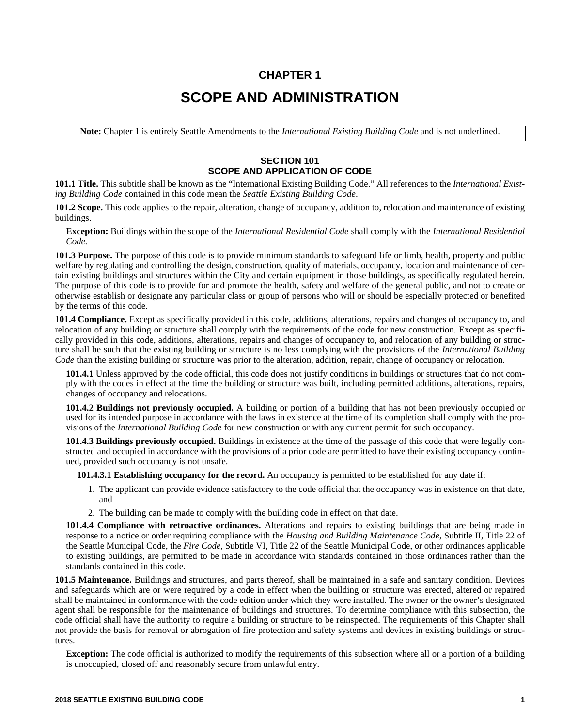## **CHAPTER 1 SCOPE AND ADMINISTRATION**

**Note:** Chapter 1 is entirely Seattle Amendments to the *International Existing Building Code* and is not underlined.

## **SECTION 101 SCOPE AND APPLICATION OF CODE**

**101.1 Title.** This subtitle shall be known as the "International Existing Building Code." All references to the *International Existing Building Code* contained in this code mean the *Seattle Existing Building Code*.

**101.2 Scope.** This code applies to the repair, alteration, change of occupancy, addition to, relocation and maintenance of existing buildings.

**Exception:** Buildings within the scope of the *International Residential Code* shall comply with the *International Residential Code.*

**101.3 Purpose.** The purpose of this code is to provide minimum standards to safeguard life or limb, health, property and public welfare by regulating and controlling the design, construction, quality of materials, occupancy, location and maintenance of certain existing buildings and structures within the City and certain equipment in those buildings, as specifically regulated herein. The purpose of this code is to provide for and promote the health, safety and welfare of the general public, and not to create or otherwise establish or designate any particular class or group of persons who will or should be especially protected or benefited by the terms of this code.

**101.4 Compliance.** Except as specifically provided in this code, additions, alterations, repairs and changes of occupancy to, and relocation of any building or structure shall comply with the requirements of the code for new construction. Except as specifically provided in this code, additions, alterations, repairs and changes of occupancy to, and relocation of any building or structure shall be such that the existing building or structure is no less complying with the provisions of the *International Building Code* than the existing building or structure was prior to the alteration, addition, repair, change of occupancy or relocation.

**101.4.1** Unless approved by the code official, this code does not justify conditions in buildings or structures that do not comply with the codes in effect at the time the building or structure was built, including permitted additions, alterations, repairs, changes of occupancy and relocations.

**101.4.2 Buildings not previously occupied.** A building or portion of a building that has not been previously occupied or used for its intended purpose in accordance with the laws in existence at the time of its completion shall comply with the provisions of the *International Building Code* for new construction or with any current permit for such occupancy.

**101.4.3 Buildings previously occupied.** Buildings in existence at the time of the passage of this code that were legally constructed and occupied in accordance with the provisions of a prior code are permitted to have their existing occupancy continued, provided such occupancy is not unsafe.

**101.4.3.1 Establishing occupancy for the record.** An occupancy is permitted to be established for any date if:

- 1. The applicant can provide evidence satisfactory to the code official that the occupancy was in existence on that date, and
- 2. The building can be made to comply with the building code in effect on that date.

**101.4.4 Compliance with retroactive ordinances.** Alterations and repairs to existing buildings that are being made in response to a notice or order requiring compliance with the *Housing and Building Maintenance Code*, Subtitle II, Title 22 of the Seattle Municipal Code, the *Fire Code*, Subtitle VI, Title 22 of the Seattle Municipal Code, or other ordinances applicable to existing buildings, are permitted to be made in accordance with standards contained in those ordinances rather than the standards contained in this code.

**101.5 Maintenance.** Buildings and structures, and parts thereof, shall be maintained in a safe and sanitary condition. Devices and safeguards which are or were required by a code in effect when the building or structure was erected, altered or repaired shall be maintained in conformance with the code edition under which they were installed. The owner or the owner's designated agent shall be responsible for the maintenance of buildings and structures. To determine compliance with this subsection, the code official shall have the authority to require a building or structure to be reinspected. The requirements of this Chapter shall not provide the basis for removal or abrogation of fire protection and safety systems and devices in existing buildings or structures.

**Exception:** The code official is authorized to modify the requirements of this subsection where all or a portion of a building is unoccupied, closed off and reasonably secure from unlawful entry.